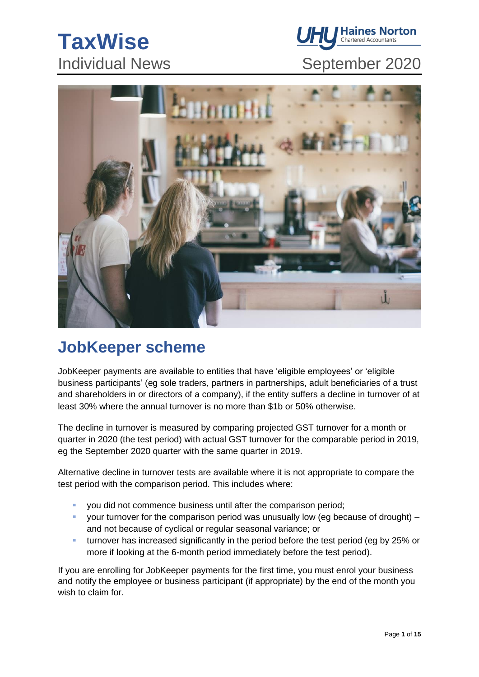# **TaxWise**



# Individual News September 2020



# **JobKeeper scheme**

JobKeeper payments are available to entities that have 'eligible employees' or 'eligible business participants' (eg sole traders, partners in partnerships, adult beneficiaries of a trust and shareholders in or directors of a company), if the entity suffers a decline in turnover of at least 30% where the annual turnover is no more than \$1b or 50% otherwise.

The decline in turnover is measured by comparing projected GST turnover for a month or quarter in 2020 (the test period) with actual GST turnover for the comparable period in 2019, eg the September 2020 quarter with the same quarter in 2019.

Alternative decline in turnover tests are available where it is not appropriate to compare the test period with the comparison period. This includes where:

- you did not commence business until after the comparison period;
- your turnover for the comparison period was unusually low (eg because of drought)  $$ and not because of cyclical or regular seasonal variance; or
- **EXED turnover has increased significantly in the period before the test period (eg by 25% or** more if looking at the 6-month period immediately before the test period).

If you are enrolling for JobKeeper payments for the first time, you must enrol your business and notify the employee or business participant (if appropriate) by the end of the month you wish to claim for.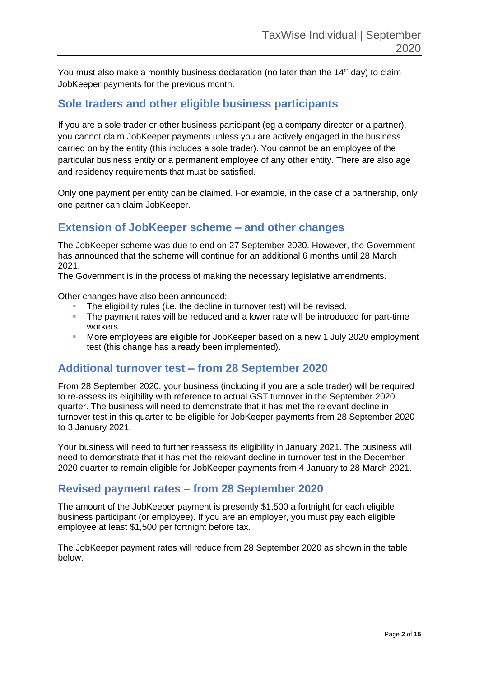You must also make a monthly business declaration (no later than the  $14<sup>th</sup>$  day) to claim JobKeeper payments for the previous month.

### **Sole traders and other eligible business participants**

If you are a sole trader or other business participant (eg a company director or a partner), you cannot claim JobKeeper payments unless you are actively engaged in the business carried on by the entity (this includes a sole trader). You cannot be an employee of the particular business entity or a permanent employee of any other entity. There are also age and residency requirements that must be satisfied.

Only one payment per entity can be claimed. For example, in the case of a partnership, only one partner can claim JobKeeper.

### **Extension of JobKeeper scheme – and other changes**

The JobKeeper scheme was due to end on 27 September 2020. However, the Government has announced that the scheme will continue for an additional 6 months until 28 March 2021.

The Government is in the process of making the necessary legislative amendments.

Other changes have also been announced:

- **The eligibility rules (i.e. the decline in turnover test) will be revised.**
- The payment rates will be reduced and a lower rate will be introduced for part-time workers.
- More employees are eligible for JobKeeper based on a new 1 July 2020 employment test (this change has already been implemented).

### **Additional turnover test – from 28 September 2020**

From 28 September 2020, your business (including if you are a sole trader) will be required to re-assess its eligibility with reference to actual GST turnover in the September 2020 quarter. The business will need to demonstrate that it has met the relevant decline in turnover test in this quarter to be eligible for JobKeeper payments from 28 September 2020 to 3 January 2021.

Your business will need to further reassess its eligibility in January 2021. The business will need to demonstrate that it has met the relevant decline in turnover test in the December 2020 quarter to remain eligible for JobKeeper payments from 4 January to 28 March 2021.

### **Revised payment rates – from 28 September 2020**

The amount of the JobKeeper payment is presently \$1,500 a fortnight for each eligible business participant (or employee). If you are an employer, you must pay each eligible employee at least \$1,500 per fortnight before tax.

The JobKeeper payment rates will reduce from 28 September 2020 as shown in the table below.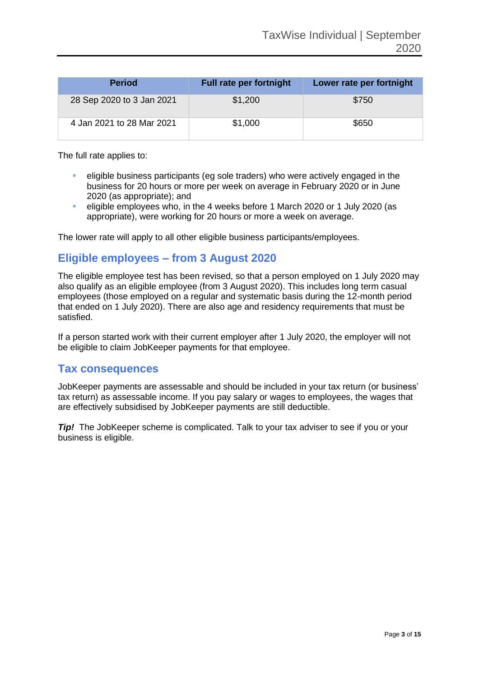| <b>Period</b>             | <b>Full rate per fortnight</b> | Lower rate per fortnight |
|---------------------------|--------------------------------|--------------------------|
| 28 Sep 2020 to 3 Jan 2021 | \$1,200                        | \$750                    |
| 4 Jan 2021 to 28 Mar 2021 | \$1,000                        | \$650                    |

The full rate applies to:

- eligible business participants (eg sole traders) who were actively engaged in the business for 20 hours or more per week on average in February 2020 or in June 2020 (as appropriate); and
- eligible employees who, in the 4 weeks before 1 March 2020 or 1 July 2020 (as appropriate), were working for 20 hours or more a week on average.

The lower rate will apply to all other eligible business participants/employees.

### **Eligible employees – from 3 August 2020**

The eligible employee test has been revised, so that a person employed on 1 July 2020 may also qualify as an eligible employee (from 3 August 2020). This includes long term casual employees (those employed on a regular and systematic basis during the 12-month period that ended on 1 July 2020). There are also age and residency requirements that must be satisfied.

If a person started work with their current employer after 1 July 2020, the employer will not be eligible to claim JobKeeper payments for that employee.

#### **Tax consequences**

JobKeeper payments are assessable and should be included in your tax return (or business' tax return) as assessable income. If you pay salary or wages to employees, the wages that are effectively subsidised by JobKeeper payments are still deductible.

*Tip!* The JobKeeper scheme is complicated. Talk to your tax adviser to see if you or your business is eligible.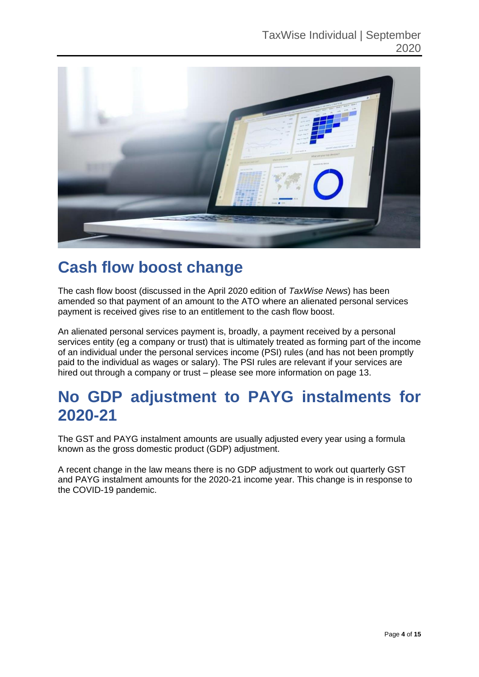

### **Cash flow boost change**

The cash flow boost (discussed in the April 2020 edition of *TaxWise News*) has been amended so that payment of an amount to the ATO where an alienated personal services payment is received gives rise to an entitlement to the cash flow boost.

An alienated personal services payment is, broadly, a payment received by a personal services entity (eg a company or trust) that is ultimately treated as forming part of the income of an individual under the personal services income (PSI) rules (and has not been promptly paid to the individual as wages or salary). The PSI rules are relevant if your services are hired out through a company or trust – please see more information on page 13.

### **No GDP adjustment to PAYG instalments for 2020-21**

The GST and PAYG instalment amounts are usually adjusted every year using a formula known as the gross domestic product (GDP) adjustment.

A recent change in the law means there is no GDP adjustment to work out quarterly GST and PAYG instalment amounts for the 2020-21 income year. This change is in response to the COVID-19 pandemic.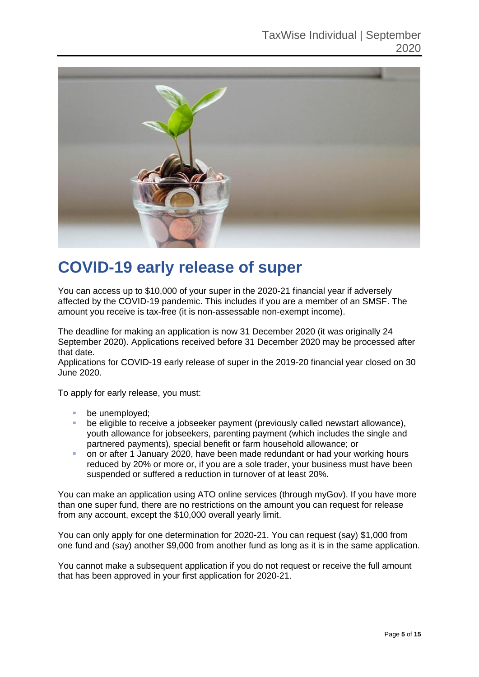

### **COVID-19 early release of super**

You can access up to \$10,000 of your super in the 2020-21 financial year if adversely affected by the COVID-19 pandemic. This includes if you are a member of an SMSF. The amount you receive is tax-free (it is non-assessable non-exempt income).

The deadline for making an application is now 31 December 2020 (it was originally 24 September 2020). Applications received before 31 December 2020 may be processed after that date.

Applications for COVID-19 early release of super in the 2019-20 financial year closed on 30 June 2020.

To apply for early release, you must:

- be unemployed:
- be eligible to receive a jobseeker payment (previously called newstart allowance), youth allowance for jobseekers, parenting payment (which includes the single and partnered payments), special benefit or farm household allowance; or
- on or after 1 January 2020, have been made redundant or had your working hours reduced by 20% or more or, if you are a sole trader, your business must have been suspended or suffered a reduction in turnover of at least 20%.

You can make an application using ATO online services (through myGov). If you have more than one super fund, there are no restrictions on the amount you can request for release from any account, except the \$10,000 overall yearly limit.

You can only apply for one determination for 2020-21. You can request (say) \$1,000 from one fund and (say) another \$9,000 from another fund as long as it is in the same application.

You cannot make a subsequent application if you do not request or receive the full amount that has been approved in your first application for 2020-21.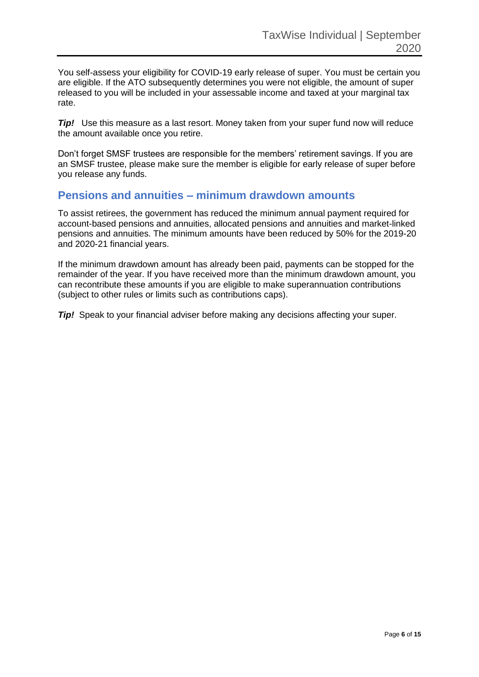You self-assess your eligibility for COVID-19 early release of super. You must be certain you are eligible. If the ATO subsequently determines you were not eligible, the amount of super released to you will be included in your assessable income and taxed at your marginal tax rate.

*Tip!* Use this measure as a last resort. Money taken from your super fund now will reduce the amount available once you retire.

Don't forget SMSF trustees are responsible for the members' retirement savings. If you are an SMSF trustee, please make sure the member is eligible for early release of super before you release any funds.

### **Pensions and annuities – minimum drawdown amounts**

To assist retirees, the government has reduced the minimum annual payment required for account-based pensions and annuities, allocated pensions and annuities and market-linked pensions and annuities. The minimum amounts have been reduced by 50% for the 2019-20 and 2020-21 financial years.

If the minimum drawdown amount has already been paid, payments can be stopped for the remainder of the year. If you have received more than the minimum drawdown amount, you can recontribute these amounts if you are eligible to make superannuation contributions (subject to other rules or limits such as contributions caps).

*Tip!* Speak to your financial adviser before making any decisions affecting your super.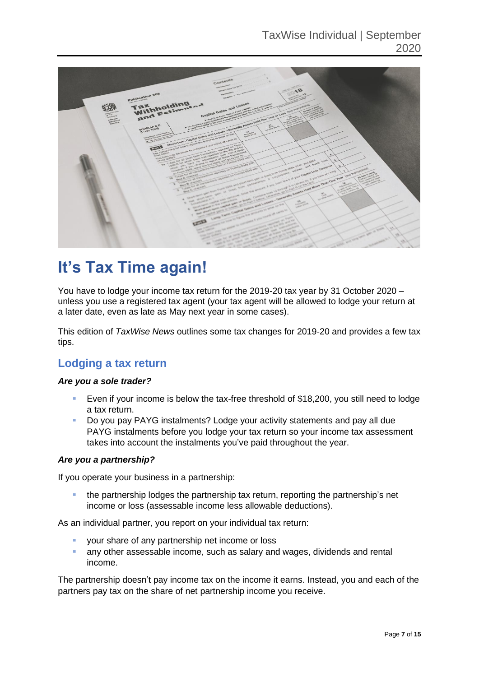

## **It's Tax Time again!**

You have to lodge your income tax return for the 2019-20 tax year by 31 October 2020 – unless you use a registered tax agent (your tax agent will be allowed to lodge your return at a later date, even as late as May next year in some cases).

This edition of *TaxWise News* outlines some tax changes for 2019-20 and provides a few tax tips.

### **Lodging a tax return**

#### *Are you a sole trader?*

- Even if your income is below the tax-free threshold of \$18,200, you still need to lodge a tax return.
- Do you pay PAYG instalments? Lodge your activity statements and pay all due PAYG instalments before you lodge your tax return so your income tax assessment takes into account the instalments you've paid throughout the year.

#### *Are you a partnership?*

If you operate your business in a partnership:

the partnership lodges the partnership tax return, reporting the partnership's net income or loss (assessable income less allowable deductions).

As an individual partner, you report on your individual tax return:

- your share of any partnership net income or loss
- **EXT** any other assessable income, such as salary and wages, dividends and rental income.

The partnership doesn't pay income tax on the income it earns. Instead, you and each of the partners pay tax on the share of net partnership income you receive.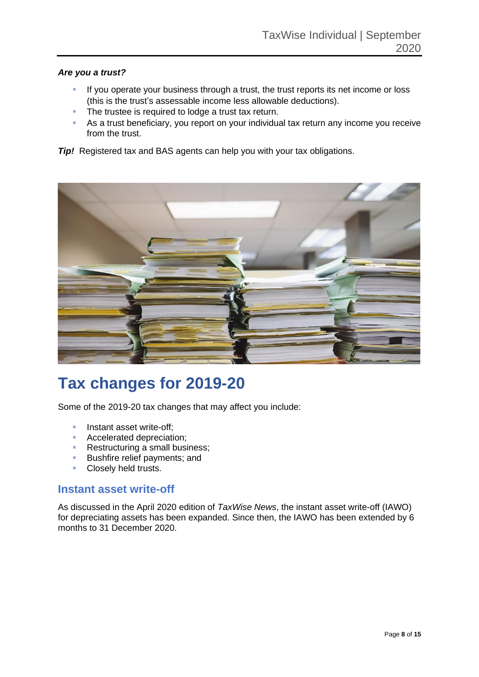#### *Are you a trust?*

- **EXT** If you operate your business through a trust, the trust reports its net income or loss (this is the trust's assessable income less allowable deductions).
- The trustee is required to lodge a trust tax return.
- **EXT** As a trust beneficiary, you report on your individual tax return any income you receive from the trust.

*Tip!* Registered tax and BAS agents can help you with your tax obligations.



# **Tax changes for 2019-20**

Some of the 2019-20 tax changes that may affect you include:

- **■** Instant asset write-off;
- Accelerated depreciation:
- Restructuring a small business;
- **Bushfire relief payments; and**
- **Closely held trusts.**

### **Instant asset write-off**

As discussed in the April 2020 edition of *TaxWise News*, the instant asset write-off (IAWO) for depreciating assets has been expanded. Since then, the IAWO has been extended by 6 months to 31 December 2020.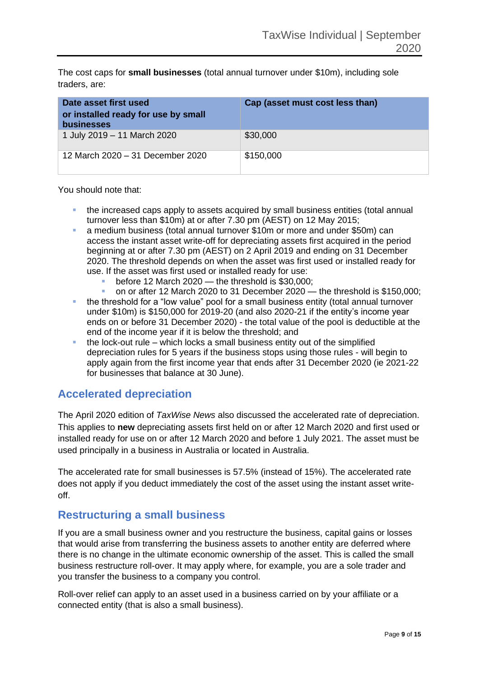The cost caps for **small businesses** (total annual turnover under \$10m), including sole traders, are:

| Date asset first used<br>or installed ready for use by small<br><b>businesses</b> | Cap (asset must cost less than) |
|-----------------------------------------------------------------------------------|---------------------------------|
| 1 July 2019 - 11 March 2020                                                       | \$30,000                        |
| 12 March 2020 - 31 December 2020                                                  | \$150,000                       |

#### You should note that:

- the increased caps apply to assets acquired by small business entities (total annual turnover less than \$10m) at or after 7.30 pm (AEST) on 12 May 2015;
- a medium business (total annual turnover \$10m or more and under \$50m) can access the instant asset write-off for depreciating assets first acquired in the period beginning at or after 7.30 pm (AEST) on 2 April 2019 and ending on 31 December 2020. The threshold depends on when the asset was first used or installed ready for use. If the asset was first used or installed ready for use:
	- before 12 March 2020  $-$  the threshold is \$30,000;
	- on or after 12 March 2020 to 31 December 2020 the threshold is  $$150,000$ ;
- the threshold for a "low value" pool for a small business entity (total annual turnover under \$10m) is \$150,000 for 2019-20 (and also 2020-21 if the entity's income year ends on or before 31 December 2020) - the total value of the pool is deductible at the end of the income year if it is below the threshold; and
- $\blacksquare$  the lock-out rule which locks a small business entity out of the simplified depreciation rules for 5 years if the business stops using those rules - will begin to apply again from the first income year that ends after 31 December 2020 (ie 2021-22 for businesses that balance at 30 June).

### **Accelerated depreciation**

The April 2020 edition of *TaxWise News* also discussed the accelerated rate of depreciation. This applies to **new** depreciating assets first held on or after 12 March 2020 and first used or installed ready for use on or after 12 March 2020 and before 1 July 2021. The asset must be used principally in a business in Australia or located in Australia.

The accelerated rate for small businesses is 57.5% (instead of 15%). The accelerated rate does not apply if you deduct immediately the cost of the asset using the instant asset writeoff.

### **Restructuring a small business**

If you are a small business owner and you restructure the business, capital gains or losses that would arise from transferring the business assets to another entity are deferred where there is no change in the ultimate economic ownership of the asset. This is called the small business restructure roll-over. It may apply where, for example, you are a sole trader and you transfer the business to a company you control.

Roll-over relief can apply to an asset used in a business carried on by your affiliate or a connected entity (that is also a small business).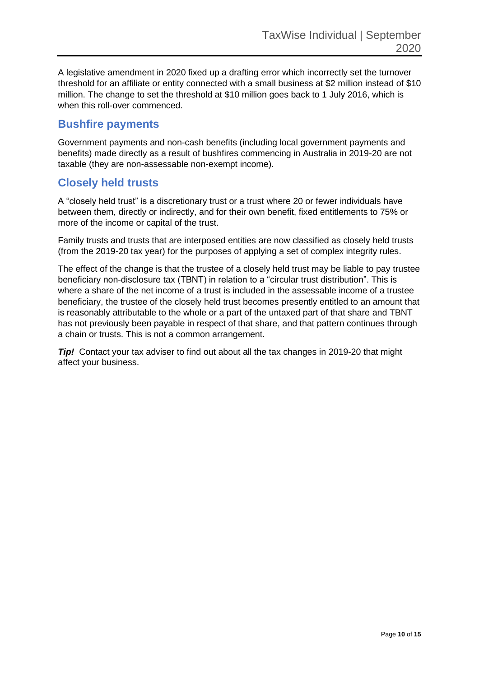A legislative amendment in 2020 fixed up a drafting error which incorrectly set the turnover threshold for an affiliate or entity connected with a small business at \$2 million instead of \$10 million. The change to set the threshold at \$10 million goes back to 1 July 2016, which is when this roll-over commenced.

#### **Bushfire payments**

Government payments and non-cash benefits (including local government payments and benefits) made directly as a result of bushfires commencing in Australia in 2019-20 are not taxable (they are non-assessable non-exempt income).

### **Closely held trusts**

A "closely held trust" is a discretionary trust or a trust where 20 or fewer individuals have between them, directly or indirectly, and for their own benefit, fixed entitlements to 75% or more of the income or capital of the trust.

Family trusts and trusts that are interposed entities are now classified as closely held trusts (from the 2019-20 tax year) for the purposes of applying a set of complex integrity rules.

The effect of the change is that the trustee of a closely held trust may be liable to pay trustee beneficiary non-disclosure tax (TBNT) in relation to a "circular trust distribution". This is where a share of the net income of a trust is included in the assessable income of a trustee beneficiary, the trustee of the closely held trust becomes presently entitled to an amount that is reasonably attributable to the whole or a part of the untaxed part of that share and TBNT has not previously been payable in respect of that share, and that pattern continues through a chain or trusts. This is not a common arrangement.

*Tip!* Contact your tax adviser to find out about all the tax changes in 2019-20 that might affect your business.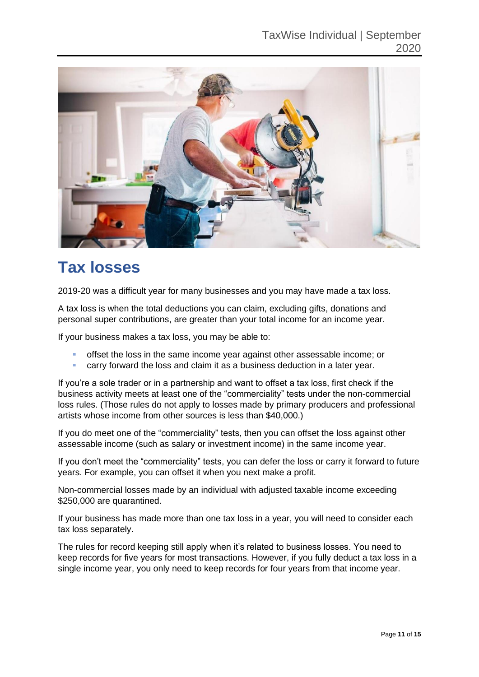

# **Tax losses**

2019-20 was a difficult year for many businesses and you may have made a tax loss.

A tax loss is when the total deductions you can claim, excluding gifts, donations and personal super contributions, are greater than your total income for an income year.

If your business makes a tax loss, you may be able to:

- offset the loss in the same income year against other assessable income; or
- **EXECT** carry forward the loss and claim it as a business deduction in a later year.

If you're a sole trader or in a partnership and want to offset a tax loss, first check if the business activity meets at least one of the "commerciality" tests under the non-commercial loss rules. (Those rules do not apply to losses made by primary producers and professional artists whose income from other sources is less than \$40,000.)

If you do meet one of the "commerciality" tests, then you can offset the loss against other assessable income (such as salary or investment income) in the same income year.

If you don't meet the "commerciality" tests, you can defer the loss or carry it forward to future years. For example, you can offset it when you next make a profit.

Non-commercial losses made by an individual with adjusted taxable income exceeding \$250,000 are quarantined.

If your business has made more than one tax loss in a year, you will need to consider each tax loss separately.

The rules for record keeping still apply when it's related to business losses. You need to keep records for five years for most transactions. However, if you fully deduct a tax loss in a single income year, you only need to keep records for four years from that income year.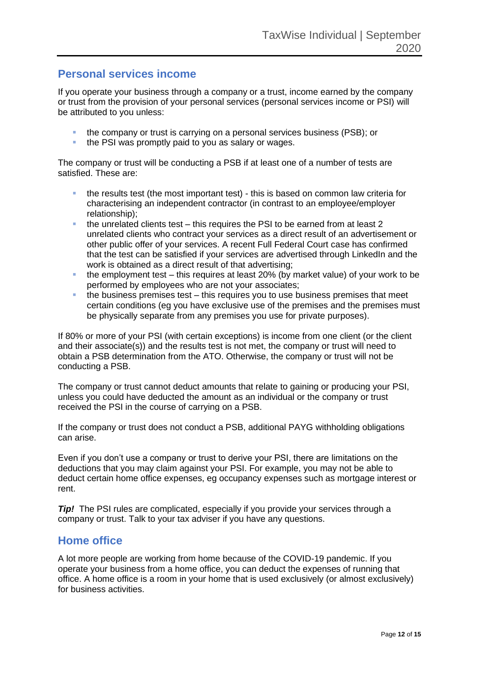### **Personal services income**

If you operate your business through a company or a trust, income earned by the company or trust from the provision of your personal services (personal services income or PSI) will be attributed to you unless:

- the company or trust is carrying on a personal services business (PSB); or
- the PSI was promptly paid to you as salary or wages.

The company or trust will be conducting a PSB if at least one of a number of tests are satisfied. These are:

- the results test (the most important test) this is based on common law criteria for characterising an independent contractor (in contrast to an employee/employer relationship);
- the unrelated clients test this requires the PSI to be earned from at least 2 unrelated clients who contract your services as a direct result of an advertisement or other public offer of your services. A recent Full Federal Court case has confirmed that the test can be satisfied if your services are advertised through LinkedIn and the work is obtained as a direct result of that advertising;
- $\bullet$  the employment test this requires at least 20% (by market value) of your work to be performed by employees who are not your associates;
- $\blacksquare$  the business premises test this requires you to use business premises that meet certain conditions (eg you have exclusive use of the premises and the premises must be physically separate from any premises you use for private purposes).

If 80% or more of your PSI (with certain exceptions) is income from one client (or the client and their associate(s)) and the results test is not met, the company or trust will need to obtain a PSB determination from the ATO. Otherwise, the company or trust will not be conducting a PSB.

The company or trust cannot deduct amounts that relate to gaining or producing your PSI, unless you could have deducted the amount as an individual or the company or trust received the PSI in the course of carrying on a PSB.

If the company or trust does not conduct a PSB, additional PAYG withholding obligations can arise.

Even if you don't use a company or trust to derive your PSI, there are limitations on the deductions that you may claim against your PSI. For example, you may not be able to deduct certain home office expenses, eg occupancy expenses such as mortgage interest or rent.

*Tip!* The PSI rules are complicated, especially if you provide your services through a company or trust. Talk to your tax adviser if you have any questions.

### **Home office**

A lot more people are working from home because of the COVID-19 pandemic. If you operate your business from a home office, you can deduct the expenses of running that office. A home office is a room in your home that is used exclusively (or almost exclusively) for business activities.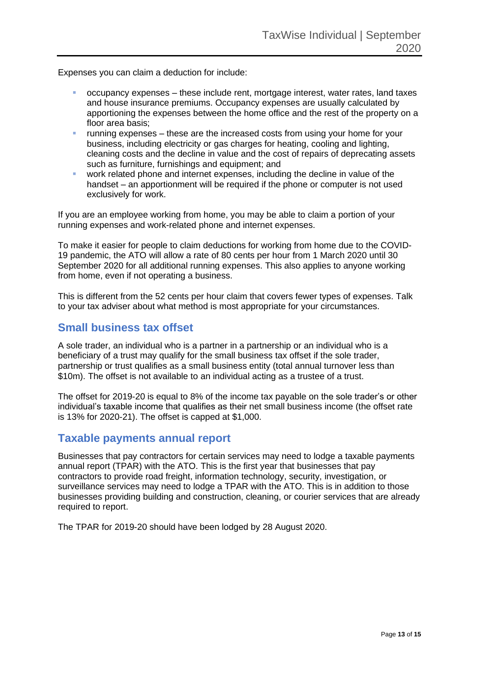Expenses you can claim a deduction for include:

- occupancy expenses these include rent, mortgage interest, water rates, land taxes and house insurance premiums. Occupancy expenses are usually calculated by apportioning the expenses between the home office and the rest of the property on a floor area basis;
- running expenses these are the increased costs from using your home for your business, including electricity or gas charges for heating, cooling and lighting, cleaning costs and the decline in value and the cost of repairs of deprecating assets such as furniture, furnishings and equipment; and
- work related phone and internet expenses, including the decline in value of the handset – an apportionment will be required if the phone or computer is not used exclusively for work.

If you are an employee working from home, you may be able to claim a portion of your running expenses and work-related phone and internet expenses.

To make it easier for people to claim deductions for working from home due to the COVID-19 pandemic, the ATO will allow a rate of 80 cents per hour from 1 March 2020 until 30 September 2020 for all additional running expenses. This also applies to anyone working from home, even if not operating a business.

This is different from the 52 cents per hour claim that covers fewer types of expenses. Talk to your tax adviser about what method is most appropriate for your circumstances.

### **Small business tax offset**

A sole trader, an individual who is a partner in a partnership or an individual who is a beneficiary of a trust may qualify for the small business tax offset if the sole trader, partnership or trust qualifies as a small business entity (total annual turnover less than \$10m). The offset is not available to an individual acting as a trustee of a trust.

The offset for 2019-20 is equal to 8% of the income tax payable on the sole trader's or other individual's taxable income that qualifies as their net small business income (the offset rate is 13% for 2020-21). The offset is capped at \$1,000.

### **Taxable payments annual report**

Businesses that pay contractors for certain services may need to lodge a taxable payments annual report (TPAR) with the ATO. This is the first year that businesses that pay contractors to provide road freight, information technology, security, investigation, or surveillance services may need to lodge a TPAR with the ATO. This is in addition to those businesses providing building and construction, cleaning, or courier services that are already required to report.

The TPAR for 2019-20 should have been lodged by 28 August 2020.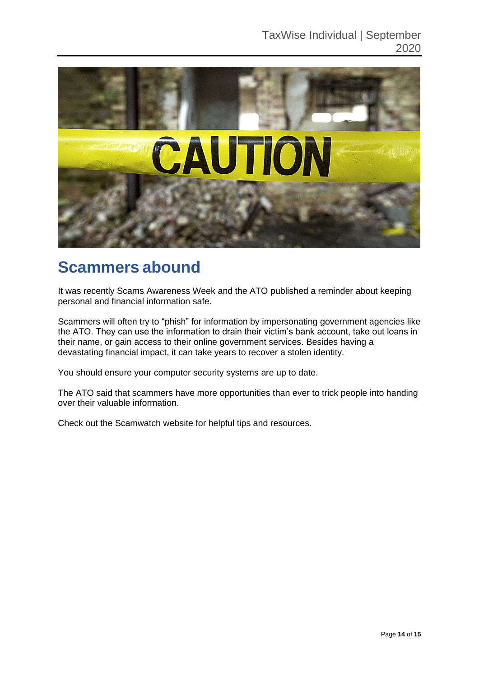

### **Scammers abound**

It was recently Scams Awareness Week and the ATO published a reminder about keeping personal and financial information safe.

Scammers will often try to "phish" for information by impersonating government agencies like the ATO. They can use the information to drain their victim's bank account, take out loans in their name, or gain access to their online government services. Besides having a devastating financial impact, it can take years to recover a stolen identity.

You should ensure your computer security systems are up to date.

The ATO said that scammers have more opportunities than ever to trick people into handing over their valuable information.

Check out the Scamwatch website for helpful tips and resources.